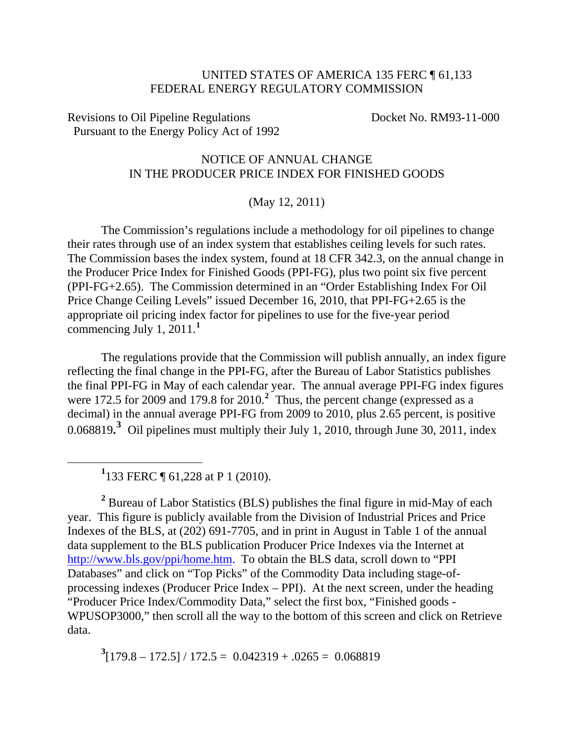## UNITED STATES OF AMERICA 135 FERC ¶ 61,133 FEDERAL ENERGY REGULATORY COMMISSION

Revisions to Oil Pipeline Regulations Docket No. RM93-11-000 Pursuant to the Energy Policy Act of 1992

## NOTICE OF ANNUAL CHANGE IN THE PRODUCER PRICE INDEX FOR FINISHED GOODS

## (May 12, 2011)

The Commission's regulations include a methodology for oil pipelines to change their rates through use of an index system that establishes ceiling levels for such rates. The Commission bases the index system, found at 18 CFR 342.3, on the annual change in the Producer Price Index for Finished Goods (PPI-FG), plus two point six five percent (PPI-FG+2.65). The Commission determined in an "Order Establishing Index For Oil Price Change Ceiling Levels" issued December 16, 2010, that PPI-FG+2.65 is the appropriate oil pricing index factor for pipelines to use for the five-year period commencing July 1, 2011.**[1](#page-0-0)**

The regulations provide that the Commission will publish annually, an index figure reflecting the final change in the PPI-FG, after the Bureau of Labor Statistics publishes the final PPI-FG in May of each calendar year. The annual average PPI-FG index figures were 17[2](#page-0-1).5 for 2009 and 179.8 for 2010.<sup>2</sup> Thus, the percent change (expressed as a decimal) in the annual average PPI-FG from 2009 to 2010, plus 2.65 percent, is positive 0.068819<sup>[3](#page-0-2)</sup> Oil pipelines must multiply their July 1, 2010, through June 30, 2011, index

**1** 133 FERC ¶ 61,228 at P 1 (2010).

<span id="page-0-0"></span> $\overline{a}$ 

<span id="page-0-1"></span><sup>2</sup> Bureau of Labor Statistics (BLS) publishes the final figure in mid-May of each year. This figure is publicly available from the Division of Industrial Prices and Price Indexes of the BLS, at (202) 691-7705, and in print in August in Table 1 of the annual data supplement to the BLS publication Producer Price Indexes via the Internet at http://www.bls.gov/ppi/home.htm. To obtain the BLS data, scroll down to "PPI" Databases" and click on "Top Picks" of the Commodity Data including stage-ofprocessing indexes (Producer Price Index – PPI). At the next screen, under the heading "Producer Price Index/Commodity Data," select the first box, "Finished goods - WPUSOP3000," then scroll all the way to the bottom of this screen and click on Retrieve data.

<span id="page-0-2"></span> $3[179.8 - 172.5] / 172.5 = 0.042319 + .0265 = 0.068819$